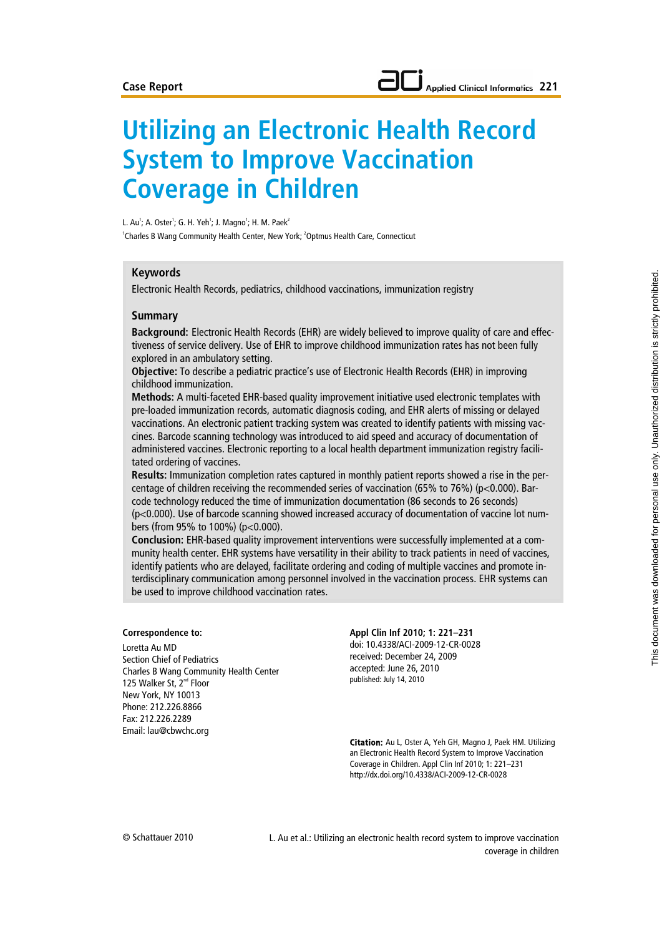# **Utilizing an Electronic Health Record System to Improve Vaccination Coverage in Children**

L. Au<sup>1</sup>; A. Oster<sup>1</sup>; G. H. Yeh<sup>1</sup>; J. Magno<sup>1</sup>; H. M. Paek<sup>2</sup>

<sup>1</sup>Charles B Wang Community Health Center, New York; <sup>2</sup>Optmus Health Care, Connecticut

## **Keywords**

Electronic Health Records, pediatrics, childhood vaccinations, immunization registry

#### **Summary**

**Background:** Electronic Health Records (EHR) are widely believed to improve quality of care and effectiveness of service delivery. Use of EHR to improve childhood immunization rates has not been fully explored in an ambulatory setting.

**Objective:** To describe a pediatric practice's use of Electronic Health Records (EHR) in improving childhood immunization.

**Methods:** A multi-faceted EHR-based quality improvement initiative used electronic templates with pre-loaded immunization records, automatic diagnosis coding, and EHR alerts of missing or delayed vaccinations. An electronic patient tracking system was created to identify patients with missing vaccines. Barcode scanning technology was introduced to aid speed and accuracy of documentation of administered vaccines. Electronic reporting to a local health department immunization registry facilitated ordering of vaccines.

**Results:** Immunization completion rates captured in monthly patient reports showed a rise in the percentage of children receiving the recommended series of vaccination (65% to 76%) (p<0.000). Barcode technology reduced the time of immunization documentation (86 seconds to 26 seconds) (p<0.000). Use of barcode scanning showed increased accuracy of documentation of vaccine lot numbers (from 95% to 100%) (p<0.000).

**Conclusion:** EHR-based quality improvement interventions were successfully implemented at a community health center. EHR systems have versatility in their ability to track patients in need of vaccines, identify patients who are delayed, facilitate ordering and coding of multiple vaccines and promote interdisciplinary communication among personnel involved in the vaccination process. EHR systems can be used to improve childhood vaccination rates.

#### **Correspondence to:**

Loretta Au MD Section Chief of Pediatrics Charles B Wang Community Health Center 125 Walker St, 2<sup>nd</sup> Floor New York, NY 10013 Phone: 212.226.8866 Fax: 212.226.2289 Email: lau@cbwchc.org

## **Appl Clin Inf 2010; 1: 221–231**

doi: 10.4338/ACI-2009-12-CR-0028 received: December 24, 2009 accepted: June 26, 2010 published: July 14, 2010

**Citation:** Au L, Oster A, Yeh GH, Magno J, Paek HM. Utilizing an Electronic Health Record System to Improve Vaccination Coverage in Children. Appl Clin Inf 2010; 1: 221–231 http://dx.doi.org/10.4338/ACI-2009-12-CR-0028

L. Au et al.: Utilizing an electronic health record system to improve vaccination coverage in children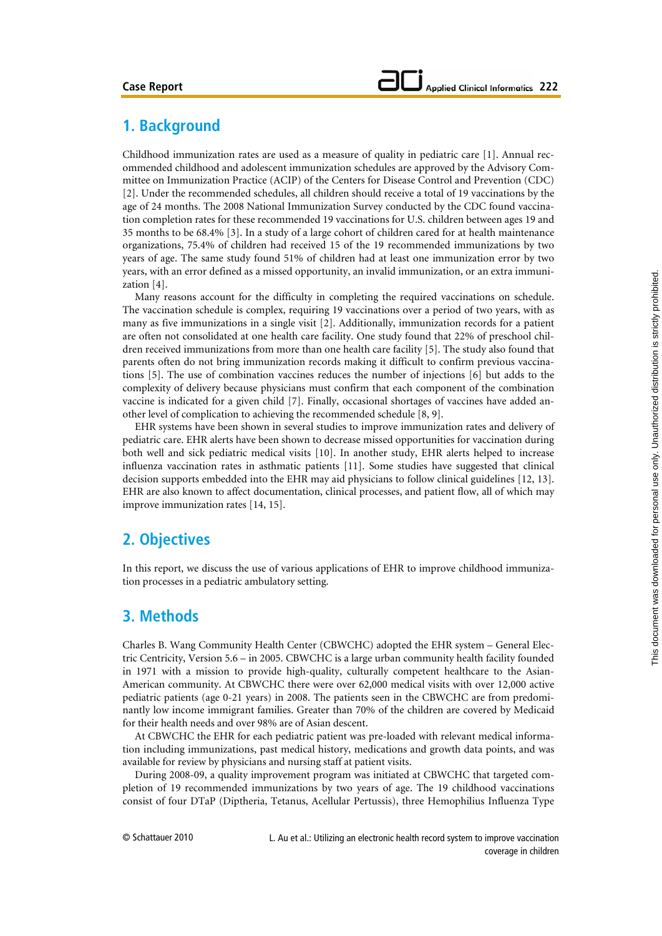# **1. Background**

Childhood immunization rates are used as a measure of quality in pediatric care [1]. Annual recommended childhood and adolescent immunization schedules are approved by the Advisory Committee on Immunization Practice (ACIP) of the Centers for Disease Control and Prevention (CDC) [2]. Under the recommended schedules, all children should receive a total of 19 vaccinations by the age of 24 months. The 2008 National Immunization Survey conducted by the CDC found vaccination completion rates for these recommended 19 vaccinations for U.S. children between ages 19 and 35 months to be 68.4% [3]. In a study of a large cohort of children cared for at health maintenance organizations, 75.4% of children had received 15 of the 19 recommended immunizations by two years of age. The same study found 51% of children had at least one immunization error by two years, with an error defined as a missed opportunity, an invalid immunization, or an extra immunization [4].

Many reasons account for the difficulty in completing the required vaccinations on schedule. The vaccination schedule is complex, requiring 19 vaccinations over a period of two years, with as many as five immunizations in a single visit [2]. Additionally, immunization records for a patient are often not consolidated at one health care facility. One study found that 22% of preschool children received immunizations from more than one health care facility [5]. The study also found that parents often do not bring immunization records making it difficult to confirm previous vaccinations [5]. The use of combination vaccines reduces the number of injections [6] but adds to the complexity of delivery because physicians must confirm that each component of the combination vaccine is indicated for a given child [7]. Finally, occasional shortages of vaccines have added another level of complication to achieving the recommended schedule [8, 9].

EHR systems have been shown in several studies to improve immunization rates and delivery of pediatric care. EHR alerts have been shown to decrease missed opportunities for vaccination during both well and sick pediatric medical visits [10]. In another study, EHR alerts helped to increase influenza vaccination rates in asthmatic patients [11]. Some studies have suggested that clinical decision supports embedded into the EHR may aid physicians to follow clinical guidelines [12, 13]. EHR are also known to affect documentation, clinical processes, and patient flow, all of which may improve immunization rates [14, 15].

# **2. Objectives**

In this report, we discuss the use of various applications of EHR to improve childhood immunization processes in a pediatric ambulatory setting.

# **3. Methods**

Charles B. Wang Community Health Center (CBWCHC) adopted the EHR system – General Electric Centricity, Version 5.6 – in 2005. CBWCHC is a large urban community health facility founded in 1971 with a mission to provide high-quality, culturally competent healthcare to the Asian-American community. At CBWCHC there were over 62,000 medical visits with over 12,000 active pediatric patients (age 0-21 years) in 2008. The patients seen in the CBWCHC are from predominantly low income immigrant families. Greater than 70% of the children are covered by Medicaid for their health needs and over 98% are of Asian descent.

At CBWCHC the EHR for each pediatric patient was pre-loaded with relevant medical information including immunizations, past medical history, medications and growth data points, and was available for review by physicians and nursing staff at patient visits.

During 2008-09, a quality improvement program was initiated at CBWCHC that targeted completion of 19 recommended immunizations by two years of age. The 19 childhood vaccinations consist of four DTaP (Diptheria, Tetanus, Acellular Pertussis), three Hemophilius Influenza Type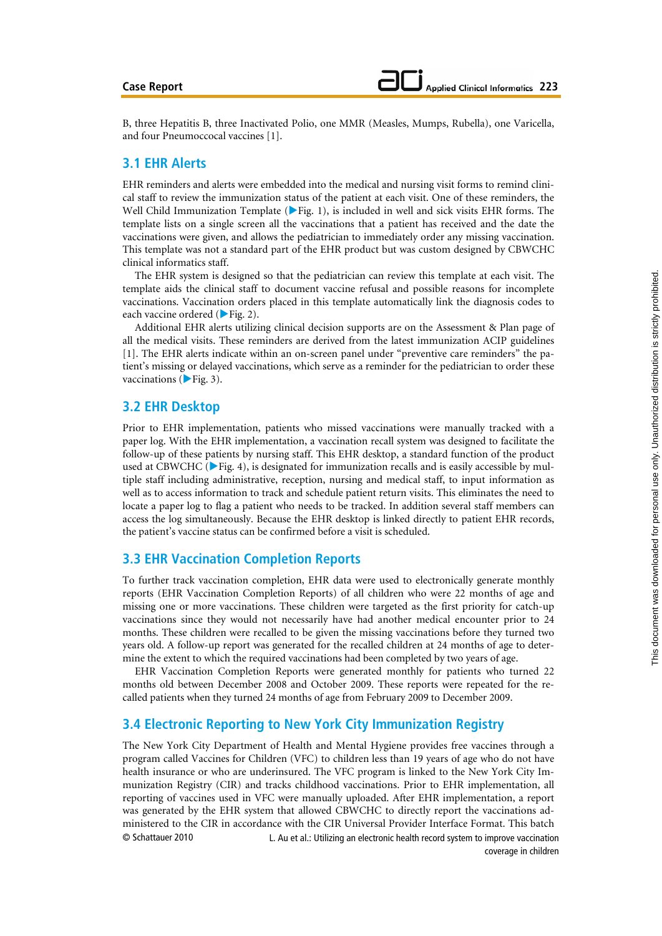#### **Case Report**

B, three Hepatitis B, three Inactivated Polio, one MMR (Measles, Mumps, Rubella), one Varicella, and four Pneumoccocal vaccines [1].

## **3.1 EHR Alerts**

EHR reminders and alerts were embedded into the medical and nursing visit forms to remind clinical staff to review the immunization status of the patient at each visit. One of these reminders, the Well Child Immunization Template ( $\blacktriangleright$  Fig. 1), is included in well and sick visits EHR forms. The template lists on a single screen all the vaccinations that a patient has received and the date the vaccinations were given, and allows the pediatrician to immediately order any missing vaccination. This template was not a standard part of the EHR product but was custom designed by CBWCHC clinical informatics staff.

The EHR system is designed so that the pediatrician can review this template at each visit. The template aids the clinical staff to document vaccine refusal and possible reasons for incomplete vaccinations. Vaccination orders placed in this template automatically link the diagnosis codes to each vaccine ordered ( $\blacktriangleright$  Fig. 2).

Additional EHR alerts utilizing clinical decision supports are on the Assessment & Plan page of all the medical visits. These reminders are derived from the latest immunization ACIP guidelines [1]. The EHR alerts indicate within an on-screen panel under "preventive care reminders" the patient's missing or delayed vaccinations, which serve as a reminder for the pediatrician to order these vaccinations ( $\blacktriangleright$  Fig. 3).

# **3.2 EHR Desktop**

Prior to EHR implementation, patients who missed vaccinations were manually tracked with a paper log. With the EHR implementation, a vaccination recall system was designed to facilitate the follow-up of these patients by nursing staff. This EHR desktop, a standard function of the product used at CBWCHC ( $\blacktriangleright$  Fig. 4), is designated for immunization recalls and is easily accessible by multiple staff including administrative, reception, nursing and medical staff, to input information as well as to access information to track and schedule patient return visits. This eliminates the need to locate a paper log to flag a patient who needs to be tracked. In addition several staff members can access the log simultaneously. Because the EHR desktop is linked directly to patient EHR records, the patient's vaccine status can be confirmed before a visit is scheduled.

# **3.3 EHR Vaccination Completion Reports**

To further track vaccination completion, EHR data were used to electronically generate monthly reports (EHR Vaccination Completion Reports) of all children who were 22 months of age and missing one or more vaccinations. These children were targeted as the first priority for catch-up vaccinations since they would not necessarily have had another medical encounter prior to 24 months. These children were recalled to be given the missing vaccinations before they turned two years old. A follow-up report was generated for the recalled children at 24 months of age to determine the extent to which the required vaccinations had been completed by two years of age.

EHR Vaccination Completion Reports were generated monthly for patients who turned 22 months old between December 2008 and October 2009. These reports were repeated for the recalled patients when they turned 24 months of age from February 2009 to December 2009.

# **3.4 Electronic Reporting to New York City Immunization Registry**

© Schattauer 2010 L. Au et al.: Utilizing an electronic health record system to improve vaccination coverage in children The New York City Department of Health and Mental Hygiene provides free vaccines through a program called Vaccines for Children (VFC) to children less than 19 years of age who do not have health insurance or who are underinsured. The VFC program is linked to the New York City Immunization Registry (CIR) and tracks childhood vaccinations. Prior to EHR implementation, all reporting of vaccines used in VFC were manually uploaded. After EHR implementation, a report was generated by the EHR system that allowed CBWCHC to directly report the vaccinations administered to the CIR in accordance with the CIR Universal Provider Interface Format. This batch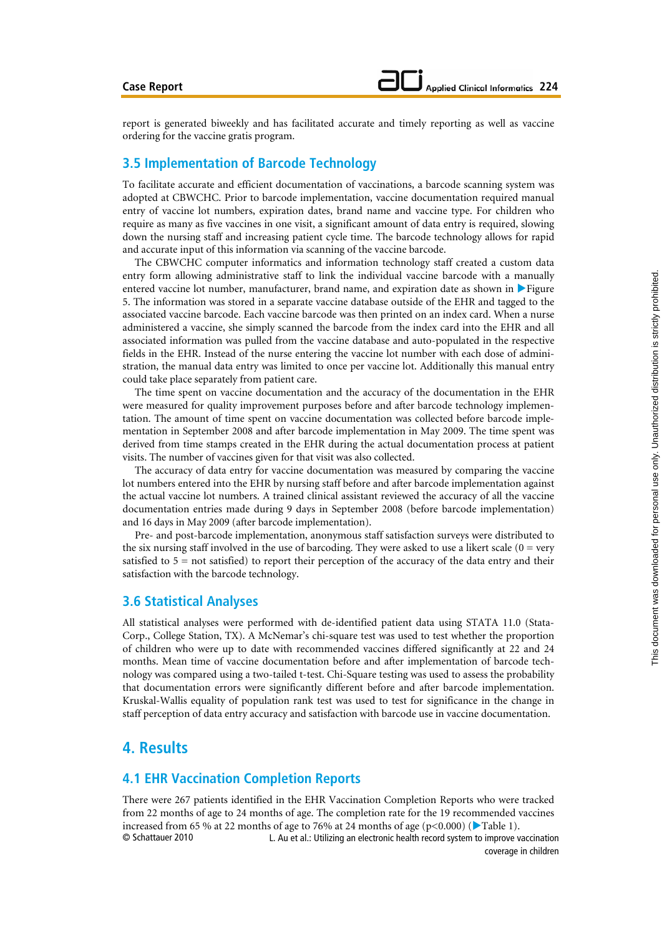report is generated biweekly and has facilitated accurate and timely reporting as well as vaccine ordering for the vaccine gratis program.

# **3.5 Implementation of Barcode Technology**

To facilitate accurate and efficient documentation of vaccinations, a barcode scanning system was adopted at CBWCHC. Prior to barcode implementation, vaccine documentation required manual entry of vaccine lot numbers, expiration dates, brand name and vaccine type. For children who require as many as five vaccines in one visit, a significant amount of data entry is required, slowing down the nursing staff and increasing patient cycle time. The barcode technology allows for rapid and accurate input of this information via scanning of the vaccine barcode.

The CBWCHC computer informatics and information technology staff created a custom data entry form allowing administrative staff to link the individual vaccine barcode with a manually entered vaccine lot number, manufacturer, brand name, and expiration date as shown in  $\blacktriangleright$  Figure 5. The information was stored in a separate vaccine database outside of the EHR and tagged to the associated vaccine barcode. Each vaccine barcode was then printed on an index card. When a nurse administered a vaccine, she simply scanned the barcode from the index card into the EHR and all associated information was pulled from the vaccine database and auto-populated in the respective fields in the EHR. Instead of the nurse entering the vaccine lot number with each dose of administration, the manual data entry was limited to once per vaccine lot. Additionally this manual entry could take place separately from patient care.

The time spent on vaccine documentation and the accuracy of the documentation in the EHR were measured for quality improvement purposes before and after barcode technology implementation. The amount of time spent on vaccine documentation was collected before barcode implementation in September 2008 and after barcode implementation in May 2009. The time spent was derived from time stamps created in the EHR during the actual documentation process at patient visits. The number of vaccines given for that visit was also collected.

The accuracy of data entry for vaccine documentation was measured by comparing the vaccine lot numbers entered into the EHR by nursing staff before and after barcode implementation against the actual vaccine lot numbers. A trained clinical assistant reviewed the accuracy of all the vaccine documentation entries made during 9 days in September 2008 (before barcode implementation) and 16 days in May 2009 (after barcode implementation).

Pre- and post-barcode implementation, anonymous staff satisfaction surveys were distributed to the six nursing staff involved in the use of barcoding. They were asked to use a likert scale  $(0 = \text{very})$ satisfied to 5 = not satisfied) to report their perception of the accuracy of the data entry and their satisfaction with the barcode technology.

## **3.6 Statistical Analyses**

All statistical analyses were performed with de-identified patient data using STATA 11.0 (Stata-Corp., College Station, TX). A McNemar's chi-square test was used to test whether the proportion of children who were up to date with recommended vaccines differed significantly at 22 and 24 months. Mean time of vaccine documentation before and after implementation of barcode technology was compared using a two-tailed t-test. Chi-Square testing was used to assess the probability that documentation errors were significantly different before and after barcode implementation. Kruskal-Wallis equality of population rank test was used to test for significance in the change in staff perception of data entry accuracy and satisfaction with barcode use in vaccine documentation.

# **4. Results**

# **4.1 EHR Vaccination Completion Reports**

© Schattauer 2010 L. Au et al.: Utilizing an electronic health record system to improve vaccination There were 267 patients identified in the EHR Vaccination Completion Reports who were tracked from 22 months of age to 24 months of age. The completion rate for the 19 recommended vaccines increased from 65 % at 22 months of age to 76% at 24 months of age (p<0.000) ( $\blacktriangleright$  Table 1).

coverage in children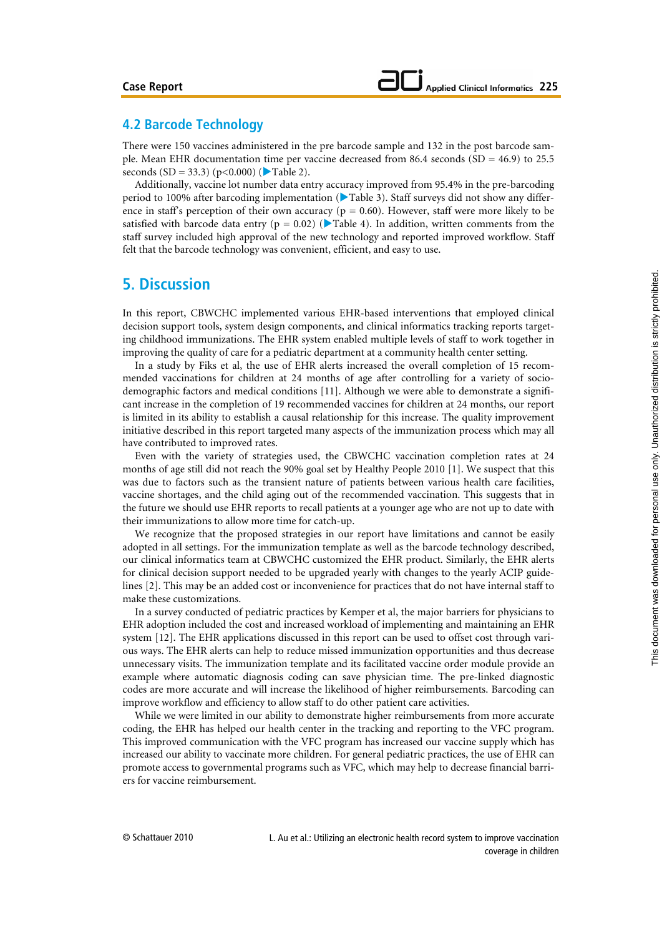## **4.2 Barcode Technology**

There were 150 vaccines administered in the pre barcode sample and 132 in the post barcode sample. Mean EHR documentation time per vaccine decreased from 86.4 seconds (SD = 46.9) to 25.5 seconds  $(SD = 33.3)$  (p<0.000) ( $\blacktriangleright$  Table 2).

Additionally, vaccine lot number data entry accuracy improved from 95.4% in the pre-barcoding period to 100% after barcoding implementation ( $\blacktriangleright$  Table 3). Staff surveys did not show any difference in staff's perception of their own accuracy ( $p = 0.60$ ). However, staff were more likely to be satisfied with barcode data entry ( $p = 0.02$ ) ( $\blacktriangleright$  Table 4). In addition, written comments from the staff survey included high approval of the new technology and reported improved workflow. Staff felt that the barcode technology was convenient, efficient, and easy to use.

# **5. Discussion**

In this report, CBWCHC implemented various EHR-based interventions that employed clinical decision support tools, system design components, and clinical informatics tracking reports targeting childhood immunizations. The EHR system enabled multiple levels of staff to work together in improving the quality of care for a pediatric department at a community health center setting.

In a study by Fiks et al, the use of EHR alerts increased the overall completion of 15 recommended vaccinations for children at 24 months of age after controlling for a variety of sociodemographic factors and medical conditions [11]. Although we were able to demonstrate a significant increase in the completion of 19 recommended vaccines for children at 24 months, our report is limited in its ability to establish a causal relationship for this increase. The quality improvement initiative described in this report targeted many aspects of the immunization process which may all have contributed to improved rates.

Even with the variety of strategies used, the CBWCHC vaccination completion rates at 24 months of age still did not reach the 90% goal set by Healthy People 2010 [1]. We suspect that this was due to factors such as the transient nature of patients between various health care facilities, vaccine shortages, and the child aging out of the recommended vaccination. This suggests that in the future we should use EHR reports to recall patients at a younger age who are not up to date with their immunizations to allow more time for catch-up.

We recognize that the proposed strategies in our report have limitations and cannot be easily adopted in all settings. For the immunization template as well as the barcode technology described, our clinical informatics team at CBWCHC customized the EHR product. Similarly, the EHR alerts for clinical decision support needed to be upgraded yearly with changes to the yearly ACIP guidelines [2]. This may be an added cost or inconvenience for practices that do not have internal staff to make these customizations.

In a survey conducted of pediatric practices by Kemper et al, the major barriers for physicians to EHR adoption included the cost and increased workload of implementing and maintaining an EHR system [12]. The EHR applications discussed in this report can be used to offset cost through various ways. The EHR alerts can help to reduce missed immunization opportunities and thus decrease unnecessary visits. The immunization template and its facilitated vaccine order module provide an example where automatic diagnosis coding can save physician time. The pre-linked diagnostic codes are more accurate and will increase the likelihood of higher reimbursements. Barcoding can improve workflow and efficiency to allow staff to do other patient care activities.

While we were limited in our ability to demonstrate higher reimbursements from more accurate coding, the EHR has helped our health center in the tracking and reporting to the VFC program. This improved communication with the VFC program has increased our vaccine supply which has increased our ability to vaccinate more children. For general pediatric practices, the use of EHR can promote access to governmental programs such as VFC, which may help to decrease financial barriers for vaccine reimbursement.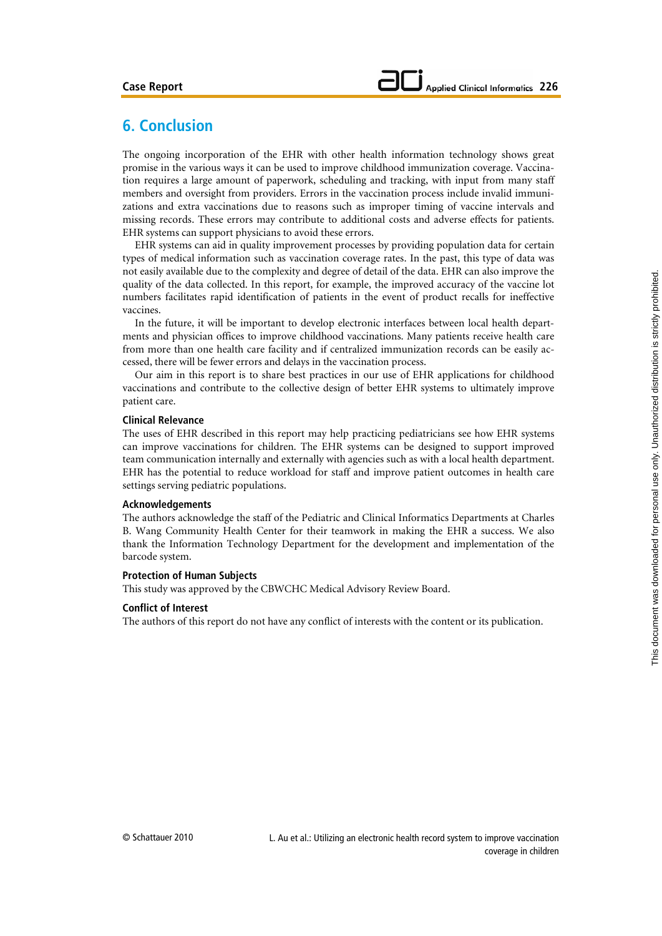# **6. Conclusion**

The ongoing incorporation of the EHR with other health information technology shows great promise in the various ways it can be used to improve childhood immunization coverage. Vaccination requires a large amount of paperwork, scheduling and tracking, with input from many staff members and oversight from providers. Errors in the vaccination process include invalid immunizations and extra vaccinations due to reasons such as improper timing of vaccine intervals and missing records. These errors may contribute to additional costs and adverse effects for patients. EHR systems can support physicians to avoid these errors.

EHR systems can aid in quality improvement processes by providing population data for certain types of medical information such as vaccination coverage rates. In the past, this type of data was not easily available due to the complexity and degree of detail of the data. EHR can also improve the quality of the data collected. In this report, for example, the improved accuracy of the vaccine lot numbers facilitates rapid identification of patients in the event of product recalls for ineffective vaccines.

In the future, it will be important to develop electronic interfaces between local health departments and physician offices to improve childhood vaccinations. Many patients receive health care from more than one health care facility and if centralized immunization records can be easily accessed, there will be fewer errors and delays in the vaccination process.

Our aim in this report is to share best practices in our use of EHR applications for childhood vaccinations and contribute to the collective design of better EHR systems to ultimately improve patient care.

#### **Clinical Relevance**

The uses of EHR described in this report may help practicing pediatricians see how EHR systems can improve vaccinations for children. The EHR systems can be designed to support improved team communication internally and externally with agencies such as with a local health department. EHR has the potential to reduce workload for staff and improve patient outcomes in health care settings serving pediatric populations.

#### **Acknowledgements**

The authors acknowledge the staff of the Pediatric and Clinical Informatics Departments at Charles B. Wang Community Health Center for their teamwork in making the EHR a success. We also thank the Information Technology Department for the development and implementation of the barcode system.

#### **Protection of Human Subjects**

This study was approved by the CBWCHC Medical Advisory Review Board.

#### **Conflict of Interest**

The authors of this report do not have any conflict of interests with the content or its publication.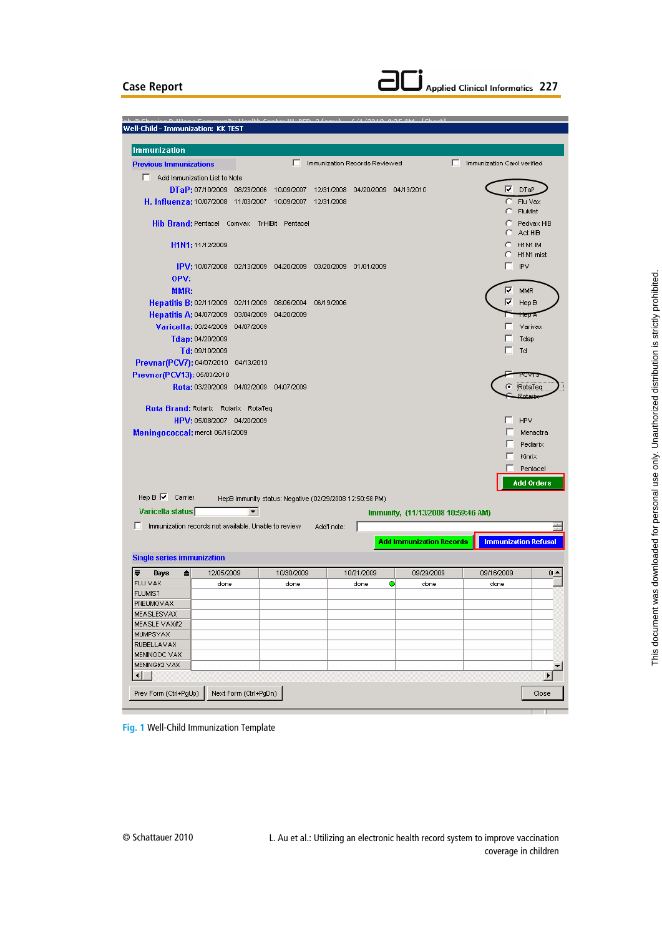# **Case Report**



| <b>Well-Child - Immunization: KK TEST</b><br>Immunization<br>Immunization Card verified<br>г<br>Immunization Records Reviewed<br>п<br><b>Previous Immunizations</b><br>п<br>Add Immunization List to Note<br>⊽<br>DTaP<br>DTaP: 07/10/2009 08/23/2006<br>12/31/2008 04/20/2009 04/13/2010<br>10/09/2007<br>Flu Vax<br>C<br>H. Influenza: 10/07/2008 11/03/2007<br>10/09/2007<br>12/31/2008<br>C<br>FluMist<br>Hib Brand: Pentacel Comvax TriHIBit Pentacel<br>Pedvax HIB<br>Act HIB<br>H1N1 IM<br>H1N1: 11/12/2009<br>H1N1 mist<br><b>IPV</b><br>IPV: 10/07/2008 02/13/2009 04/20/2009<br>03/20/2009 01/01/2009<br>ш<br>OPV:<br>⊽<br>MMR:<br><b>MMR</b><br>⊽.<br>Hepatitis B: 02/11/2009 02/11/2009 08/06/2004<br>Hep B<br>06/19/2006<br><b>Hepatitis A: 04/07/2009</b><br>03/04/2009<br>04/20/2009<br>Нер А<br>Varicella: 03/24/2009<br>Varivax<br>04/07/2009<br>п<br>Tdap<br>Tdap: 04/20/2009<br>Td: 09/10/2009<br>п<br>Td<br>Prevnar(PCV7): 04/07/2010<br>04/13/2010<br>Prevnar(PCV13): 05/03/2010<br>Rota: 03/20/2009  04/02/2009  04/07/2009<br>RotaTeq<br>Rota Brand: Rotarix Rotarix RotaTeq<br><b>HPV</b><br>HPV: 05/08/2007 04/20/2009<br>Meningococcal: merck 06/16/2009<br>Menactra<br>Pediarix<br>Kinrix<br>Pentacel<br><b>Add Orders</b><br>Hep $B$ $\overline{V}$ Carrier<br>HepB immunity status: Negative (02/29/2008 12:50:58 PM)<br>Varicella status<br>$\blacktriangledown$<br>Immunity, (11/13/2008 10:59:46 AM)<br>Immunization records not available. Unable to review<br>Add'l note:<br><b>Add Immunization Records</b><br><b>Immunization Refusal</b><br><b>Single series immunization</b><br>Days<br>≜<br>12/05/2009<br>10/30/2009<br>10/21/2009<br>09/29/2009<br>09/16/2009<br>₹ |
|------------------------------------------------------------------------------------------------------------------------------------------------------------------------------------------------------------------------------------------------------------------------------------------------------------------------------------------------------------------------------------------------------------------------------------------------------------------------------------------------------------------------------------------------------------------------------------------------------------------------------------------------------------------------------------------------------------------------------------------------------------------------------------------------------------------------------------------------------------------------------------------------------------------------------------------------------------------------------------------------------------------------------------------------------------------------------------------------------------------------------------------------------------------------------------------------------------------------------------------------------------------------------------------------------------------------------------------------------------------------------------------------------------------------------------------------------------------------------------------------------------------------------------------------------------------------------------------------------------------------------------------------------------------------------------------------------------|
|                                                                                                                                                                                                                                                                                                                                                                                                                                                                                                                                                                                                                                                                                                                                                                                                                                                                                                                                                                                                                                                                                                                                                                                                                                                                                                                                                                                                                                                                                                                                                                                                                                                                                                            |
|                                                                                                                                                                                                                                                                                                                                                                                                                                                                                                                                                                                                                                                                                                                                                                                                                                                                                                                                                                                                                                                                                                                                                                                                                                                                                                                                                                                                                                                                                                                                                                                                                                                                                                            |
|                                                                                                                                                                                                                                                                                                                                                                                                                                                                                                                                                                                                                                                                                                                                                                                                                                                                                                                                                                                                                                                                                                                                                                                                                                                                                                                                                                                                                                                                                                                                                                                                                                                                                                            |
|                                                                                                                                                                                                                                                                                                                                                                                                                                                                                                                                                                                                                                                                                                                                                                                                                                                                                                                                                                                                                                                                                                                                                                                                                                                                                                                                                                                                                                                                                                                                                                                                                                                                                                            |
|                                                                                                                                                                                                                                                                                                                                                                                                                                                                                                                                                                                                                                                                                                                                                                                                                                                                                                                                                                                                                                                                                                                                                                                                                                                                                                                                                                                                                                                                                                                                                                                                                                                                                                            |
|                                                                                                                                                                                                                                                                                                                                                                                                                                                                                                                                                                                                                                                                                                                                                                                                                                                                                                                                                                                                                                                                                                                                                                                                                                                                                                                                                                                                                                                                                                                                                                                                                                                                                                            |
|                                                                                                                                                                                                                                                                                                                                                                                                                                                                                                                                                                                                                                                                                                                                                                                                                                                                                                                                                                                                                                                                                                                                                                                                                                                                                                                                                                                                                                                                                                                                                                                                                                                                                                            |
|                                                                                                                                                                                                                                                                                                                                                                                                                                                                                                                                                                                                                                                                                                                                                                                                                                                                                                                                                                                                                                                                                                                                                                                                                                                                                                                                                                                                                                                                                                                                                                                                                                                                                                            |
|                                                                                                                                                                                                                                                                                                                                                                                                                                                                                                                                                                                                                                                                                                                                                                                                                                                                                                                                                                                                                                                                                                                                                                                                                                                                                                                                                                                                                                                                                                                                                                                                                                                                                                            |
|                                                                                                                                                                                                                                                                                                                                                                                                                                                                                                                                                                                                                                                                                                                                                                                                                                                                                                                                                                                                                                                                                                                                                                                                                                                                                                                                                                                                                                                                                                                                                                                                                                                                                                            |
|                                                                                                                                                                                                                                                                                                                                                                                                                                                                                                                                                                                                                                                                                                                                                                                                                                                                                                                                                                                                                                                                                                                                                                                                                                                                                                                                                                                                                                                                                                                                                                                                                                                                                                            |
|                                                                                                                                                                                                                                                                                                                                                                                                                                                                                                                                                                                                                                                                                                                                                                                                                                                                                                                                                                                                                                                                                                                                                                                                                                                                                                                                                                                                                                                                                                                                                                                                                                                                                                            |
|                                                                                                                                                                                                                                                                                                                                                                                                                                                                                                                                                                                                                                                                                                                                                                                                                                                                                                                                                                                                                                                                                                                                                                                                                                                                                                                                                                                                                                                                                                                                                                                                                                                                                                            |
|                                                                                                                                                                                                                                                                                                                                                                                                                                                                                                                                                                                                                                                                                                                                                                                                                                                                                                                                                                                                                                                                                                                                                                                                                                                                                                                                                                                                                                                                                                                                                                                                                                                                                                            |
|                                                                                                                                                                                                                                                                                                                                                                                                                                                                                                                                                                                                                                                                                                                                                                                                                                                                                                                                                                                                                                                                                                                                                                                                                                                                                                                                                                                                                                                                                                                                                                                                                                                                                                            |
|                                                                                                                                                                                                                                                                                                                                                                                                                                                                                                                                                                                                                                                                                                                                                                                                                                                                                                                                                                                                                                                                                                                                                                                                                                                                                                                                                                                                                                                                                                                                                                                                                                                                                                            |
|                                                                                                                                                                                                                                                                                                                                                                                                                                                                                                                                                                                                                                                                                                                                                                                                                                                                                                                                                                                                                                                                                                                                                                                                                                                                                                                                                                                                                                                                                                                                                                                                                                                                                                            |
|                                                                                                                                                                                                                                                                                                                                                                                                                                                                                                                                                                                                                                                                                                                                                                                                                                                                                                                                                                                                                                                                                                                                                                                                                                                                                                                                                                                                                                                                                                                                                                                                                                                                                                            |
|                                                                                                                                                                                                                                                                                                                                                                                                                                                                                                                                                                                                                                                                                                                                                                                                                                                                                                                                                                                                                                                                                                                                                                                                                                                                                                                                                                                                                                                                                                                                                                                                                                                                                                            |
|                                                                                                                                                                                                                                                                                                                                                                                                                                                                                                                                                                                                                                                                                                                                                                                                                                                                                                                                                                                                                                                                                                                                                                                                                                                                                                                                                                                                                                                                                                                                                                                                                                                                                                            |
|                                                                                                                                                                                                                                                                                                                                                                                                                                                                                                                                                                                                                                                                                                                                                                                                                                                                                                                                                                                                                                                                                                                                                                                                                                                                                                                                                                                                                                                                                                                                                                                                                                                                                                            |
|                                                                                                                                                                                                                                                                                                                                                                                                                                                                                                                                                                                                                                                                                                                                                                                                                                                                                                                                                                                                                                                                                                                                                                                                                                                                                                                                                                                                                                                                                                                                                                                                                                                                                                            |
|                                                                                                                                                                                                                                                                                                                                                                                                                                                                                                                                                                                                                                                                                                                                                                                                                                                                                                                                                                                                                                                                                                                                                                                                                                                                                                                                                                                                                                                                                                                                                                                                                                                                                                            |
|                                                                                                                                                                                                                                                                                                                                                                                                                                                                                                                                                                                                                                                                                                                                                                                                                                                                                                                                                                                                                                                                                                                                                                                                                                                                                                                                                                                                                                                                                                                                                                                                                                                                                                            |
|                                                                                                                                                                                                                                                                                                                                                                                                                                                                                                                                                                                                                                                                                                                                                                                                                                                                                                                                                                                                                                                                                                                                                                                                                                                                                                                                                                                                                                                                                                                                                                                                                                                                                                            |
|                                                                                                                                                                                                                                                                                                                                                                                                                                                                                                                                                                                                                                                                                                                                                                                                                                                                                                                                                                                                                                                                                                                                                                                                                                                                                                                                                                                                                                                                                                                                                                                                                                                                                                            |
|                                                                                                                                                                                                                                                                                                                                                                                                                                                                                                                                                                                                                                                                                                                                                                                                                                                                                                                                                                                                                                                                                                                                                                                                                                                                                                                                                                                                                                                                                                                                                                                                                                                                                                            |
|                                                                                                                                                                                                                                                                                                                                                                                                                                                                                                                                                                                                                                                                                                                                                                                                                                                                                                                                                                                                                                                                                                                                                                                                                                                                                                                                                                                                                                                                                                                                                                                                                                                                                                            |
|                                                                                                                                                                                                                                                                                                                                                                                                                                                                                                                                                                                                                                                                                                                                                                                                                                                                                                                                                                                                                                                                                                                                                                                                                                                                                                                                                                                                                                                                                                                                                                                                                                                                                                            |
|                                                                                                                                                                                                                                                                                                                                                                                                                                                                                                                                                                                                                                                                                                                                                                                                                                                                                                                                                                                                                                                                                                                                                                                                                                                                                                                                                                                                                                                                                                                                                                                                                                                                                                            |
|                                                                                                                                                                                                                                                                                                                                                                                                                                                                                                                                                                                                                                                                                                                                                                                                                                                                                                                                                                                                                                                                                                                                                                                                                                                                                                                                                                                                                                                                                                                                                                                                                                                                                                            |
|                                                                                                                                                                                                                                                                                                                                                                                                                                                                                                                                                                                                                                                                                                                                                                                                                                                                                                                                                                                                                                                                                                                                                                                                                                                                                                                                                                                                                                                                                                                                                                                                                                                                                                            |
|                                                                                                                                                                                                                                                                                                                                                                                                                                                                                                                                                                                                                                                                                                                                                                                                                                                                                                                                                                                                                                                                                                                                                                                                                                                                                                                                                                                                                                                                                                                                                                                                                                                                                                            |
|                                                                                                                                                                                                                                                                                                                                                                                                                                                                                                                                                                                                                                                                                                                                                                                                                                                                                                                                                                                                                                                                                                                                                                                                                                                                                                                                                                                                                                                                                                                                                                                                                                                                                                            |
|                                                                                                                                                                                                                                                                                                                                                                                                                                                                                                                                                                                                                                                                                                                                                                                                                                                                                                                                                                                                                                                                                                                                                                                                                                                                                                                                                                                                                                                                                                                                                                                                                                                                                                            |
|                                                                                                                                                                                                                                                                                                                                                                                                                                                                                                                                                                                                                                                                                                                                                                                                                                                                                                                                                                                                                                                                                                                                                                                                                                                                                                                                                                                                                                                                                                                                                                                                                                                                                                            |
|                                                                                                                                                                                                                                                                                                                                                                                                                                                                                                                                                                                                                                                                                                                                                                                                                                                                                                                                                                                                                                                                                                                                                                                                                                                                                                                                                                                                                                                                                                                                                                                                                                                                                                            |
| FLU VAX<br>۰<br>done<br>done<br>done<br>done<br>done                                                                                                                                                                                                                                                                                                                                                                                                                                                                                                                                                                                                                                                                                                                                                                                                                                                                                                                                                                                                                                                                                                                                                                                                                                                                                                                                                                                                                                                                                                                                                                                                                                                       |
| <b>FLUMIST</b>                                                                                                                                                                                                                                                                                                                                                                                                                                                                                                                                                                                                                                                                                                                                                                                                                                                                                                                                                                                                                                                                                                                                                                                                                                                                                                                                                                                                                                                                                                                                                                                                                                                                                             |
| PNEUMOVAX                                                                                                                                                                                                                                                                                                                                                                                                                                                                                                                                                                                                                                                                                                                                                                                                                                                                                                                                                                                                                                                                                                                                                                                                                                                                                                                                                                                                                                                                                                                                                                                                                                                                                                  |
| MEASLESVAX                                                                                                                                                                                                                                                                                                                                                                                                                                                                                                                                                                                                                                                                                                                                                                                                                                                                                                                                                                                                                                                                                                                                                                                                                                                                                                                                                                                                                                                                                                                                                                                                                                                                                                 |
| MEASLE VAX#2                                                                                                                                                                                                                                                                                                                                                                                                                                                                                                                                                                                                                                                                                                                                                                                                                                                                                                                                                                                                                                                                                                                                                                                                                                                                                                                                                                                                                                                                                                                                                                                                                                                                                               |
| <b>MUMPSVAX</b>                                                                                                                                                                                                                                                                                                                                                                                                                                                                                                                                                                                                                                                                                                                                                                                                                                                                                                                                                                                                                                                                                                                                                                                                                                                                                                                                                                                                                                                                                                                                                                                                                                                                                            |
| RUBELLAVAX<br>MENINGOC VAX                                                                                                                                                                                                                                                                                                                                                                                                                                                                                                                                                                                                                                                                                                                                                                                                                                                                                                                                                                                                                                                                                                                                                                                                                                                                                                                                                                                                                                                                                                                                                                                                                                                                                 |
| MENING#2 VAX                                                                                                                                                                                                                                                                                                                                                                                                                                                                                                                                                                                                                                                                                                                                                                                                                                                                                                                                                                                                                                                                                                                                                                                                                                                                                                                                                                                                                                                                                                                                                                                                                                                                                               |
| ⊣                                                                                                                                                                                                                                                                                                                                                                                                                                                                                                                                                                                                                                                                                                                                                                                                                                                                                                                                                                                                                                                                                                                                                                                                                                                                                                                                                                                                                                                                                                                                                                                                                                                                                                          |
|                                                                                                                                                                                                                                                                                                                                                                                                                                                                                                                                                                                                                                                                                                                                                                                                                                                                                                                                                                                                                                                                                                                                                                                                                                                                                                                                                                                                                                                                                                                                                                                                                                                                                                            |
| Prev Form (Ctrl+PgUp)<br>Next Form (Ctrl+PgDn)<br>Close                                                                                                                                                                                                                                                                                                                                                                                                                                                                                                                                                                                                                                                                                                                                                                                                                                                                                                                                                                                                                                                                                                                                                                                                                                                                                                                                                                                                                                                                                                                                                                                                                                                    |

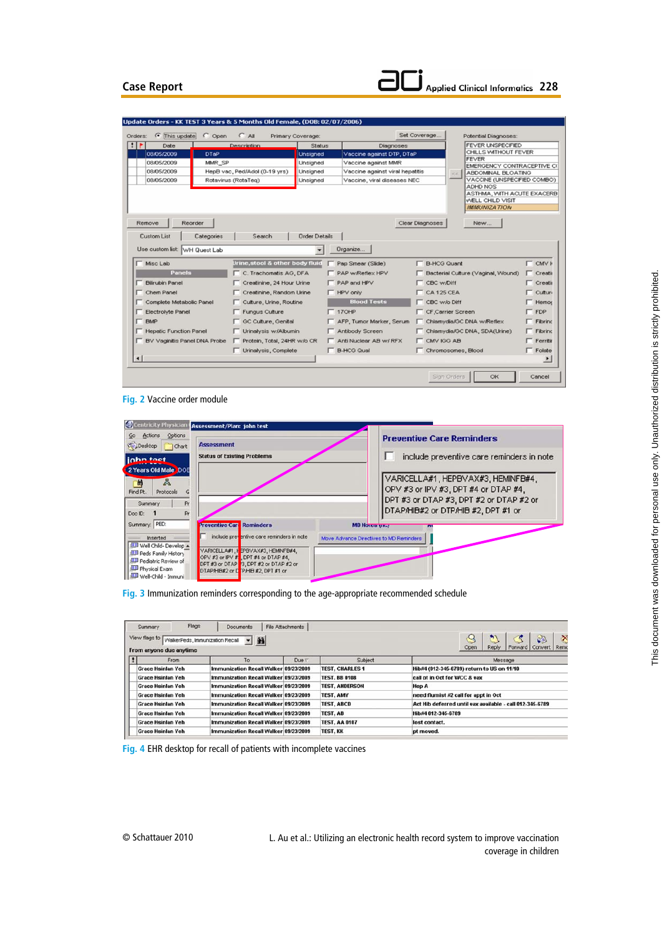## **Case Report**



| This update<br>C Open<br>$\bullet$<br>Orders:                                                                                            | $C$ All<br>Primary Coverage:    |                                         |                             |                                                                                     |  |                       | <b>Potential Diagnoses:</b>                    |                                                                                                           |
|------------------------------------------------------------------------------------------------------------------------------------------|---------------------------------|-----------------------------------------|-----------------------------|-------------------------------------------------------------------------------------|--|-----------------------|------------------------------------------------|-----------------------------------------------------------------------------------------------------------|
| $\mathbf{r}$<br>Date                                                                                                                     | <b>Description</b>              | <b>Status</b>                           |                             | Diagnoses                                                                           |  |                       | <b>FEVER UNSPECIFIED</b>                       |                                                                                                           |
| 08/05/2009<br><b>DTaP</b>                                                                                                                |                                 | <b>Unsigned</b><br>Unsigned<br>Unsigned |                             | Vaccine against DTP, DTaP<br>Vaccine against MMR<br>Vaccine against viral hepatitis |  |                       | CHILLS WITHOUT FEVER<br><b>FEVER</b>           |                                                                                                           |
| 08/05/2009<br>MMR_SP                                                                                                                     |                                 |                                         |                             |                                                                                     |  |                       | EMERGENCY CONTRACEPTIVE CO                     |                                                                                                           |
| 08/05/2009                                                                                                                               | HepB vac, Ped/Adol (0-19 yrs)   |                                         |                             |                                                                                     |  |                       | <b>ABDOMINAL BLOATING</b><br>$\epsilon e$      |                                                                                                           |
| 08/05/2009                                                                                                                               | Unsigned<br>Rotavirus (RotaTeg) |                                         | Vaccine, viral diseases NEC |                                                                                     |  |                       | VACCINE (UNSPECIFIED COMBO)                    |                                                                                                           |
|                                                                                                                                          |                                 |                                         |                             |                                                                                     |  |                       | <b>ADHD NOS</b>                                |                                                                                                           |
|                                                                                                                                          |                                 |                                         |                             |                                                                                     |  |                       | ASTHMA, WITH ACUTE EXACERB<br>WELL CHILD VISIT |                                                                                                           |
|                                                                                                                                          |                                 |                                         |                             |                                                                                     |  |                       | <b>IMMUNIZATION</b>                            |                                                                                                           |
| Custom List<br>Categories                                                                                                                | Search                          | <b>Order Details</b>                    |                             | Clear Diagnoses                                                                     |  |                       | New                                            |                                                                                                           |
|                                                                                                                                          |                                 |                                         |                             | Organize                                                                            |  |                       |                                                |                                                                                                           |
| Use custom list: WH Quest Lab<br>Misc Lab                                                                                                | Urine,stool & other body fluid  |                                         |                             | Pap Smear (Slide)                                                                   |  | <b>F</b> B-HCG Quant  |                                                | $\Gamma$ CMV $\mu$                                                                                        |
| <b>Panels</b>                                                                                                                            | C. Trachomatis AG, DFA          |                                         |                             | PAP w/Reflex HPV                                                                    |  |                       | Bacterial Culture (Vaginal, Wound)             |                                                                                                           |
|                                                                                                                                          | Creatinine, 24 Hour Urine       |                                         |                             | PAP and HPV                                                                         |  | <b>CBC w/Diff</b>     |                                                |                                                                                                           |
|                                                                                                                                          | Creatinine, Random Urine        |                                         |                             | <b>IT HPV only</b>                                                                  |  | $\Box$ CA 125 CEA     |                                                |                                                                                                           |
|                                                                                                                                          | Culture, Urine, Routine         |                                         |                             | <b>Blood Tests</b>                                                                  |  | $\Gamma$ CBC w/o Diff |                                                |                                                                                                           |
|                                                                                                                                          | Fungus Culture                  |                                         |                             | $T$ 170HP                                                                           |  | CF Carrier Screen     |                                                |                                                                                                           |
|                                                                                                                                          | GC Culture, Genital             |                                         |                             | AFP, Tumor Marker, Serum                                                            |  |                       | Chlamydia/GC DNA w/Reflex                      |                                                                                                           |
| <b>F</b> Bilirubin Panel<br>$\Gamma$ Chem Panel<br>Complete Metabolic Panel<br>Electrolyte Panel<br>$\Box$ BMP<br>Hepatic Function Panel | Urinalysis w/Albumin            |                                         |                             | Antibody Screen                                                                     |  |                       | Chlamydia/GC DNA, SDA(Urine)                   | Creati<br>$\Gamma$ Creatin<br>$\Gamma$ Culture<br>Hernoo<br>$\Gamma$ FDP<br><b>Fibrino</b><br>$F$ Fibrino |
|                                                                                                                                          | Protein, Total, 24HR w/o CR     |                                         |                             | Anti Nuclear AB w/RFX                                                               |  | <b>CMV IGG AB</b>     |                                                | $\Gamma$ Ferritir                                                                                         |
| <b>F</b> BV Vaginitis Panel DNA Probe                                                                                                    | Urinalysis, Complete            |                                         |                             | <b>F</b> B-HCG Qual                                                                 |  |                       | Chromosomes, Blood                             | $\Gamma$ Folate                                                                                           |

#### **Fig. 2** Vaccine order module

|                                                                                                                                        | Entricity Physician Assessment/Plan: john test                                                                                                                |                                                                                                                                                              |
|----------------------------------------------------------------------------------------------------------------------------------------|---------------------------------------------------------------------------------------------------------------------------------------------------------------|--------------------------------------------------------------------------------------------------------------------------------------------------------------|
| Actions Options<br>Go<br>Ve Desktop<br>  Chart                                                                                         | <b>Assessment</b>                                                                                                                                             | <b>Preventive Care Reminders</b>                                                                                                                             |
| inhn toet                                                                                                                              | <b>Status of Existing Problems</b>                                                                                                                            | include preventive care reminders in note                                                                                                                    |
| 2 Years Old Male DOE<br>$\frac{1}{2}$<br>$\mathcal{L}_{\mathcal{L}}$<br>Find Pt.<br>Protocols<br>G<br>Pr<br>Summary<br>Pr<br>Doc ID: 1 |                                                                                                                                                               | VARICELLA#1, HEPBVAX#3, HEMINFB#4,<br>OPV #3 or IPV #3, DPT #4 or DTAP #4,<br>DPT #3 or DTAP #3, DPT #2 or DTAP #2 or<br>DTAP/HIB#2 or DTP/HIB #2, DPT #1 or |
| Summary: PED:                                                                                                                          | Preventive Carl<br><b>Reminders</b>                                                                                                                           | MD Notes (m.)                                                                                                                                                |
| Inserted<br>Well Child- Develop -                                                                                                      | include preventive care reminders in note                                                                                                                     | Move Advance Directives to MD Reminders                                                                                                                      |
| <b>III</b> Peds Family History<br>Pediatric Review of<br>Physical Exam<br>Well-Child - Immuni                                          | VARICELLA#1, I EPBVAX#3, HEMINFB#4,<br>OPV #3 or IPV # , DPT #4 or DTAP #4,<br>DPT #3 or DTAP #3, DPT #2 or DTAP #2 or<br>DTAP/HIB#2 or DFP/HIB #2, DPT #1 or |                                                                                                                                                              |

**Fig. 3** Immunization reminders corresponding to the age-appropriate recommended schedule

| Flags<br>Summary                                                          | <b>Documents</b>                      | File Attachments |                        |                                                                                                     |
|---------------------------------------------------------------------------|---------------------------------------|------------------|------------------------|-----------------------------------------------------------------------------------------------------|
| View flags to VyalkerPeds, Immunization Recall<br>From anyone due anytime | $-14$                                 |                  |                        | $\mathcal{Q}$<br>$\mathcal{R}$<br>63<br>$\mathbf{\hat{z}}$<br>Forward Convert Remo<br>Open<br>Reply |
| From                                                                      | To                                    | Due <sub>W</sub> | Subject                | Message                                                                                             |
| <b>Grace Hsinlan Yeh</b>                                                  | Immunization Recall Walker 09/23/2009 |                  | <b>TEST, CHARLES 1</b> | Hib#4 (012-345-6789) return to US on 11/10                                                          |
| <b>Grace Hsinlan Yeh</b>                                                  | Immunization Recall Walker 09/23/2009 |                  | <b>TEST, BB 0108</b>   | call pt in Oct for WCC & vax                                                                        |
| <b>Grace Hsinlan Yeh</b>                                                  | Immunization Recall Walker 09/23/2009 |                  | <b>TEST, ANDERSON</b>  | <b>Hep A</b>                                                                                        |
| <b>Grace Hsinlan Yeh</b>                                                  | Immunization Recall Walker 09/23/2009 |                  | <b>TEST, AMY</b>       | need flumist #2 call for appt in Oct                                                                |
| <b>Grace Hsinlan Yeh</b>                                                  | Immunization Recall Walker 09/23/2009 |                  | <b>TEST, ABCD</b>      | Act Hib deferred until vax available - call 012-345-6789                                            |
| <b>Grace Hsinlan Yeh</b>                                                  | Immunization Recall Walker 09/23/2009 |                  | <b>TEST, AB</b>        | Hib#4 012-345-6789                                                                                  |
| <b>Grace Hsinlan Yeh</b>                                                  | Immunization Recall Walker 09/23/2009 |                  | <b>TEST, AA 0107</b>   | lost contact.                                                                                       |
| <b>Grace Hsinlan Yeh</b>                                                  | Immunization Recall Walker 09/23/2009 |                  | <b>TEST, KK</b>        | pt moved.                                                                                           |

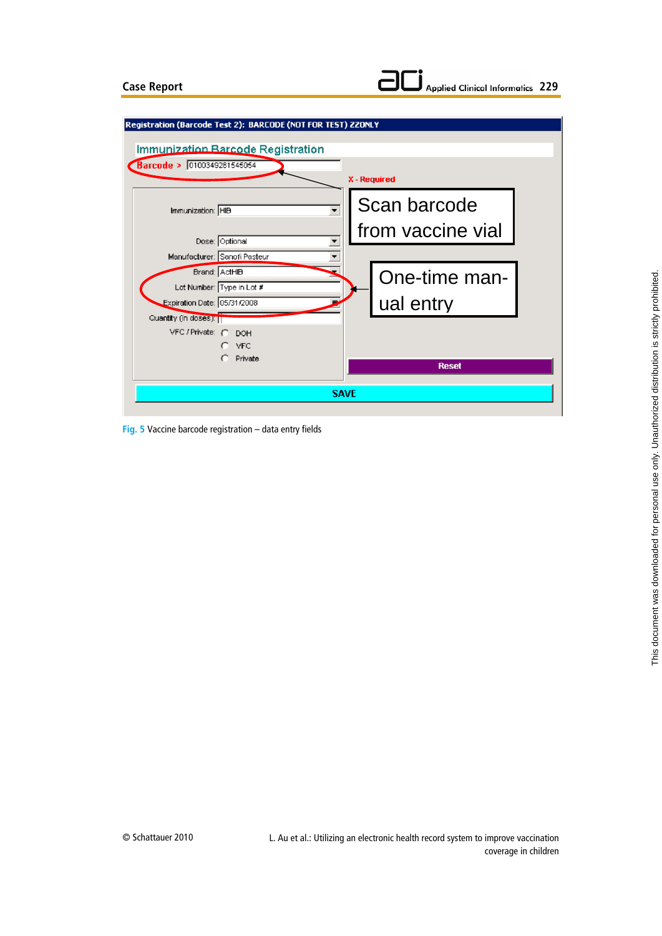



**Fig. 5** Vaccine barcode registration – data entry fields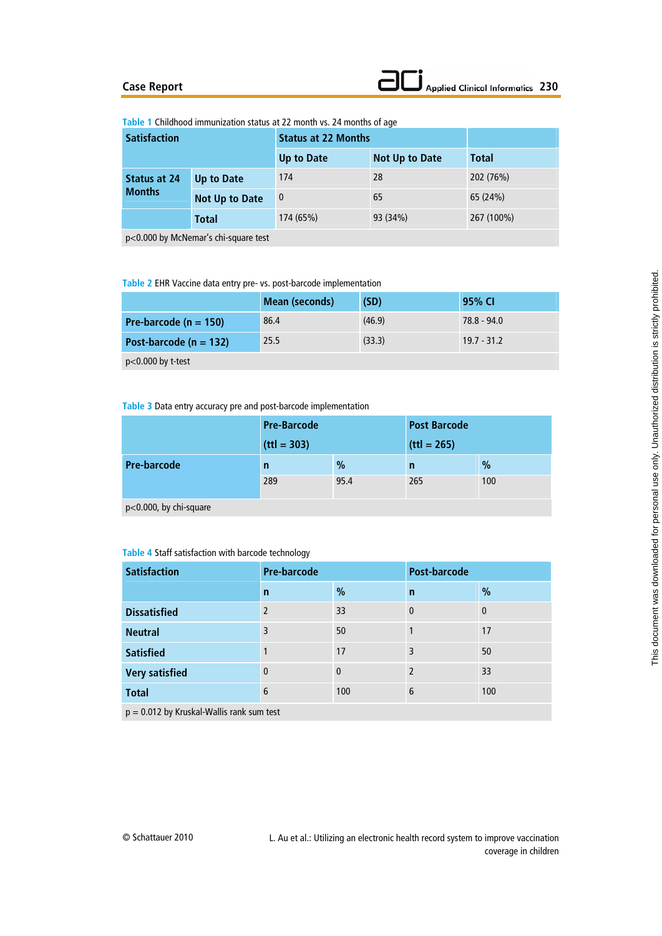#### **Table 1** Childhood immunization status at 22 month vs. 24 months of age

| <b>Satisfaction</b> |                                      | <b>Status at 22 Months</b> |                       |              |
|---------------------|--------------------------------------|----------------------------|-----------------------|--------------|
|                     |                                      | <b>Up to Date</b>          | <b>Not Up to Date</b> | <b>Total</b> |
| <b>Status at 24</b> | Up to Date                           | 174                        | 28                    | 202 (76%)    |
| <b>Months</b>       | <b>Not Up to Date</b>                | $\mathbf{0}$               | 65                    | 65 (24%)     |
|                     | <b>Total</b>                         | 174 (65%)                  | 93 (34%)              | 267 (100%)   |
|                     | p<0.000 by McNemar's chi-square test |                            |                       |              |

**Table 2** EHR Vaccine data entry pre- vs. post-barcode implementation

|                            | Mean (seconds) | (SD)   | 95% CI        |
|----------------------------|----------------|--------|---------------|
| Pre-barcode ( $n = 150$ )  | 86.4           | (46.9) | $78.8 - 94.0$ |
| Post-barcode ( $n = 132$ ) | 25.5           | (33.3) | $19.7 - 31.2$ |
| $\sim 0.000$ ku t toot     |                |        |               |

p<0.000 by t-test

#### **Table 3** Data entry accuracy pre and post-barcode implementation

|                               | <b>Pre-Barcode</b><br>$(tt1 = 303)$ |      | <b>Post Barcode</b> |               |  |
|-------------------------------|-------------------------------------|------|---------------------|---------------|--|
|                               |                                     |      | $(ttI = 265)$       |               |  |
| <b>Pre-barcode</b>            | n                                   | $\%$ | $\mathbf n$         | $\frac{0}{0}$ |  |
|                               | 289                                 | 95.4 | 265                 | 100           |  |
| $-0.000$ $-1.3$ $-1.3$ $-1.3$ |                                     |      |                     |               |  |

p<0.000, by chi-square

#### **Table 4** Staff satisfaction with barcode technology

| <b>Satisfaction</b>                | <b>Pre-barcode</b>       |     | <b>Post-barcode</b> |              |
|------------------------------------|--------------------------|-----|---------------------|--------------|
|                                    | $\mathbf n$              | %   | $\mathsf{n}$        | $\%$         |
| <b>Dissatisfied</b>                | $\overline{\phantom{0}}$ | 33  | $\bf{0}$            | $\mathbf{0}$ |
| <b>Neutral</b>                     | 3                        | 50  |                     | 17           |
| <b>Satisfied</b>                   |                          | 17  | 3                   | 50           |
| <b>Very satisfied</b>              | $\Omega$                 | 0   | 2                   | 33           |
| <b>Total</b>                       | 6                        | 100 | 6                   | 100          |
| $0.0001 \times 1.1111 \times 1001$ |                          |     |                     |              |

 $p = 0.012$  by Kruskal-Wallis rank sum test